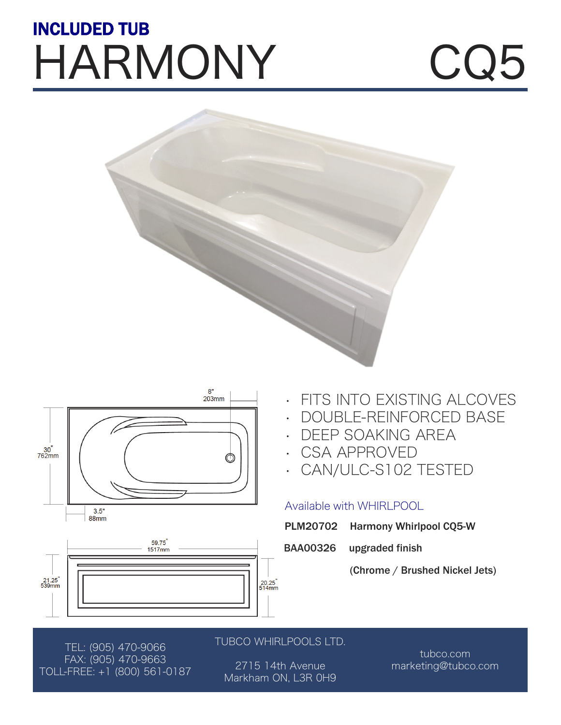## HARMONY CQ5 INCLUDED TUB







- FITS INTO EXISTING ALCOVES
- DOUBLE-REINFORCED BASE
- DEEP SOAKING AREA
- CSA APPROVED
- CAN/ULC-S102 TESTED

### Available with WHIRLPOOL

- PLM20702 Harmony Whirlpool CQ5-W
- BAA00326 upgraded finish
	- (Chrome / Brushed Nickel Jets)

TEL: (905) 470-9066 FAX: (905) 470-9663 TOLL-FREE: +1 (800) 561-0187

### TUBCO WHIRLPOOLS LTD.

2715 14th Avenue Markham ON, L3R 0H9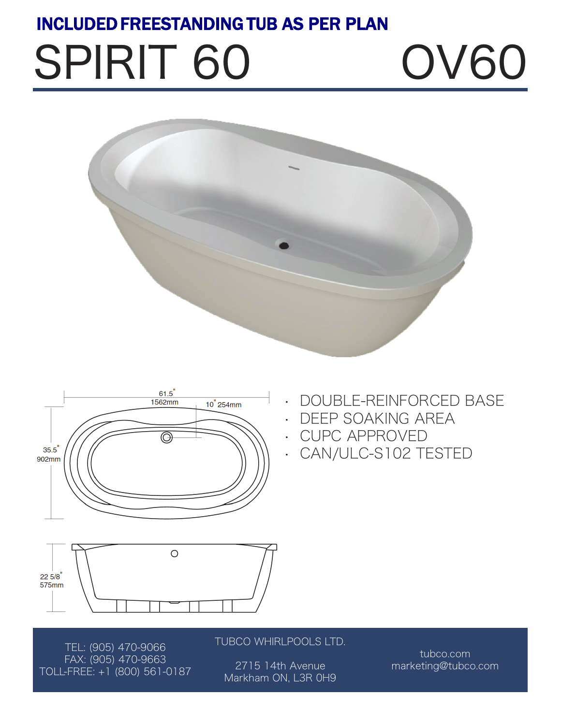## INCLUDED FREESTANDING TUB AS PER PLAN

# SPIRIT 60 0V60





- DOUBLE-REINFORCED BASE
- DEEP SOAKING AREA
- CUPC APPROVED
- CAN/ULC-S102 TESTED



TEL: (905) 470-9066 FAX: (905) 470-9663 TOLL-FREE: +1 (800) 561-0187 TUBCO WHIRLPOOLS LTD.

2715 14th Avenue Markham ON, L3R 0H9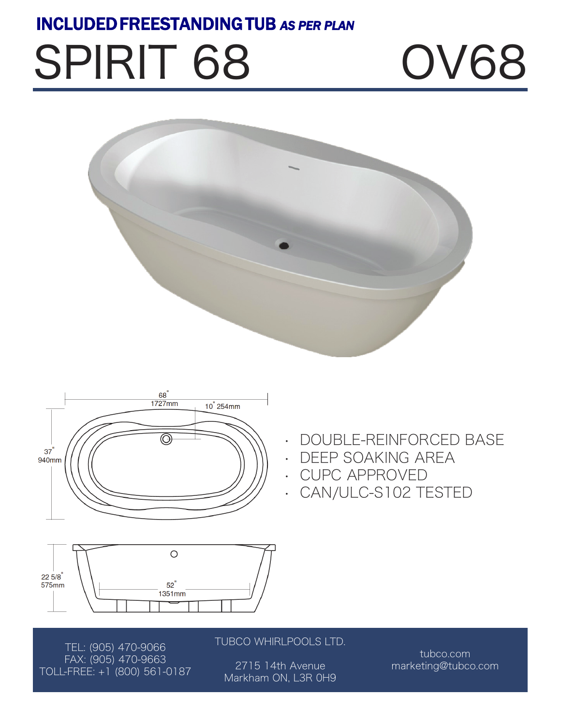## INCLUDED FREESTANDING TUB *AS PER PLAN*

# SPIRIT 68 OV68





- DOUBLE-REINFORCED BASE
- DEEP SOAKING AREA
- CUPC APPROVED
- CAN/ULC-S102 TESTED



TEL: (905) 470-9066 FAX: (905) 470-9663 TOLL-FREE: +1 (800) 561-0187 TUBCO WHIRLPOOLS LTD.

2715 14th Avenue Markham ON, L3R 0H9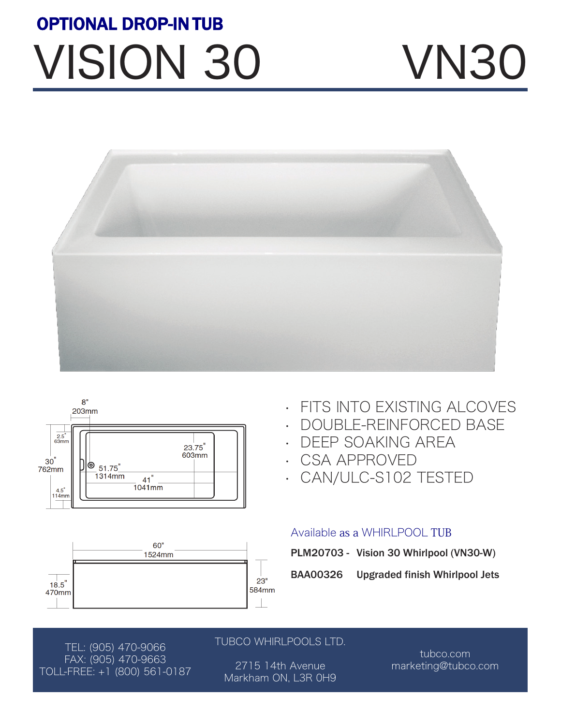## VISION 30 VN30 OPTIONAL DROP-IN TUB







- **FITS INTO EXISTING ALCOVES**
- DOUBLE-REINFORCED BASE
- DEEP SOAKING AREA
- CSA APPROVED
- CAN/ULC-S102 TESTED

### Available as a WHIRLPOOL TUB

| PLM20703 - Vision 30 Whirlpool (VN30-W) |  |  |
|-----------------------------------------|--|--|
|                                         |  |  |

BAA00326 Upgraded finish Whirlpool Jets

TEL: (905) 470-9066 FAX: (905) 470-9663 TOLL-FREE: +1 (800) 561-0187

### TUBCO WHIRLPOOLS LTD.

2715 14th Avenue Markham ON, L3R 0H9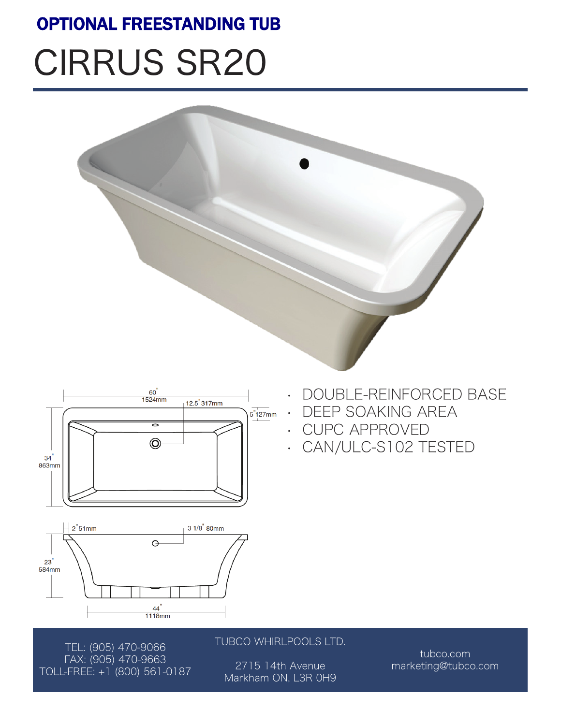## OPTIONAL FREESTANDING TUB

## CIRRUS SR20







• DOUBLE-REINFORCED BASE

- CUPC APPROVED
- CAN/ULC-S102 TESTED



TEL: (905) 470-9066 FAX: (905) 470-9663 TOLL-FREE: +1 (800) 561-0187 TUBCO WHIRLPOOLS LTD.

2715 14th Avenue Markham ON, L3R 0H9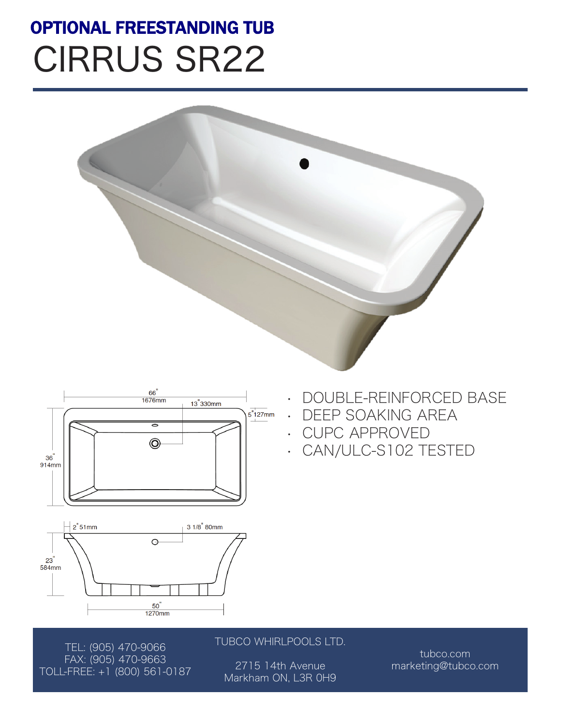## CIRRUS SR22 OPTIONAL FREESTANDING TUB









TUBCO WHIRLPOOLS LTD.

2715 14th Avenue Markham ON, L3R 0H9

tubco.com marketing@tubco.com

• DOUBLE-REINFORCED BASE

- DEEP SOAKING AREA
- CUPC APPROVED
- CAN/ULC-S102 TESTED